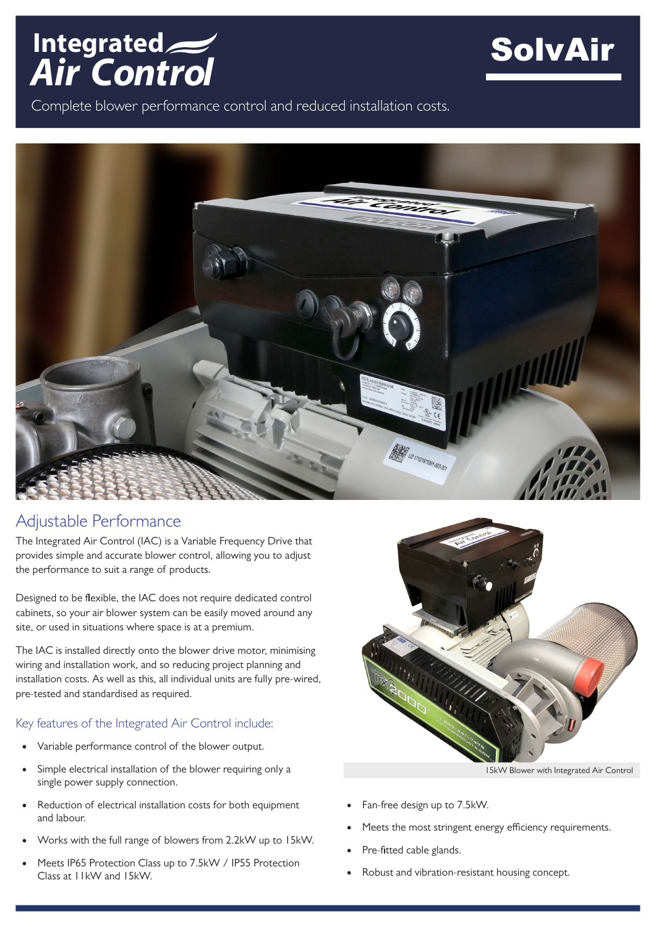



Complete blower performance control and reduced installation costs.



## Adjustable Performance

The Integrated Air Control (IAC) is a Variable Frequency Drive that provides simple and accurate blower control, allowing you to adjust the performance to suit a range of products.

Designed to be flexible, the IAC does not require dedicated control cabinets, so your air blower system can be easily moved around any site, or used in situations where space is at a premium.

The IAC is installed directly onto the blower drive motor, minimising wiring and installation work, and so reducing project planning and installation costs. As well as this, all individual units are fully pre-wired, pre-tested and standardised as required.

## Key features of the Integrated Air Control include:

- Variable performance control of the blower output.
- Simple electrical installation of the blower requiring only a single power supply connection.
- Reduction of electrical installation costs for both equipment and labour.
- Works with the full range of blowers from 2.2kW up to 15kW.
- Meets IP65 Protection Class up to 7.5kW / IP55 Protection Class at 11kW and 15kW.



15kW Blower with Integrated Air Control

- Fan-free design up to 7.5kW.
- Meets the most stringent energy efficiency requirements.
- Pre-fitted cable glands.
- Robust and vibration-resistant housing concept.